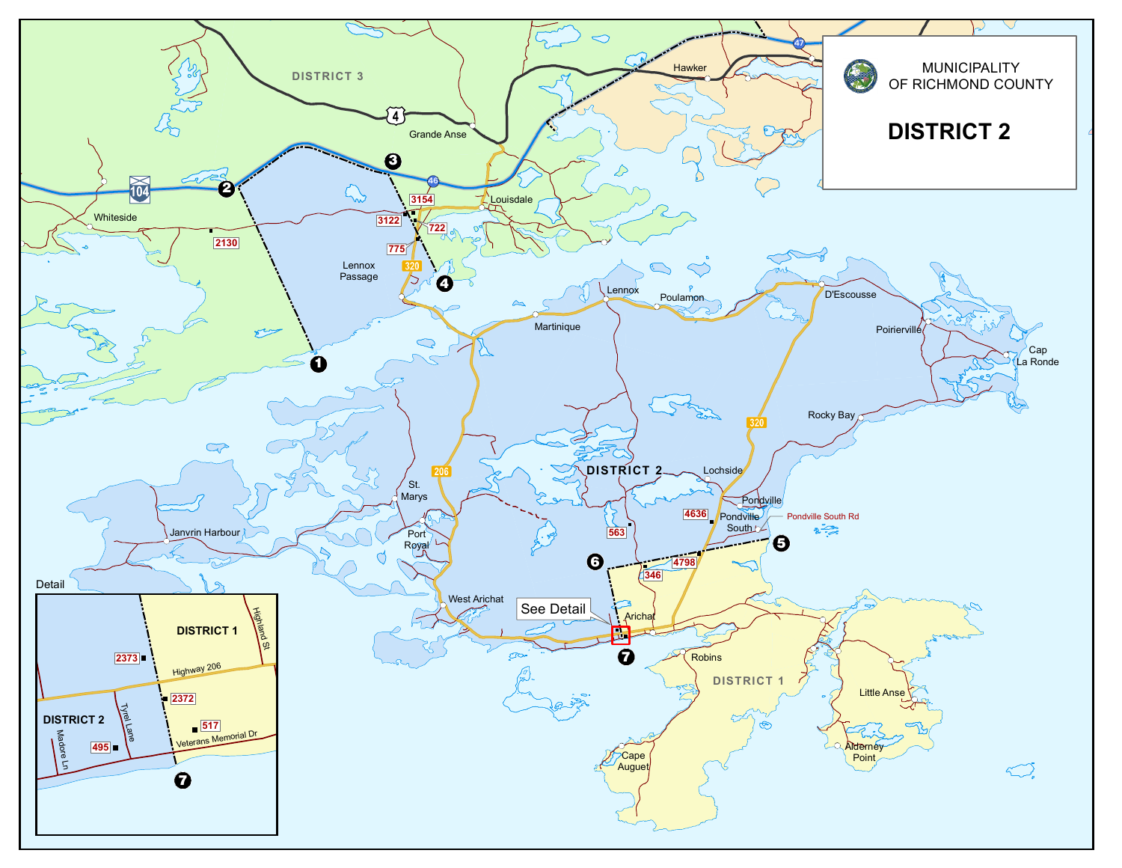